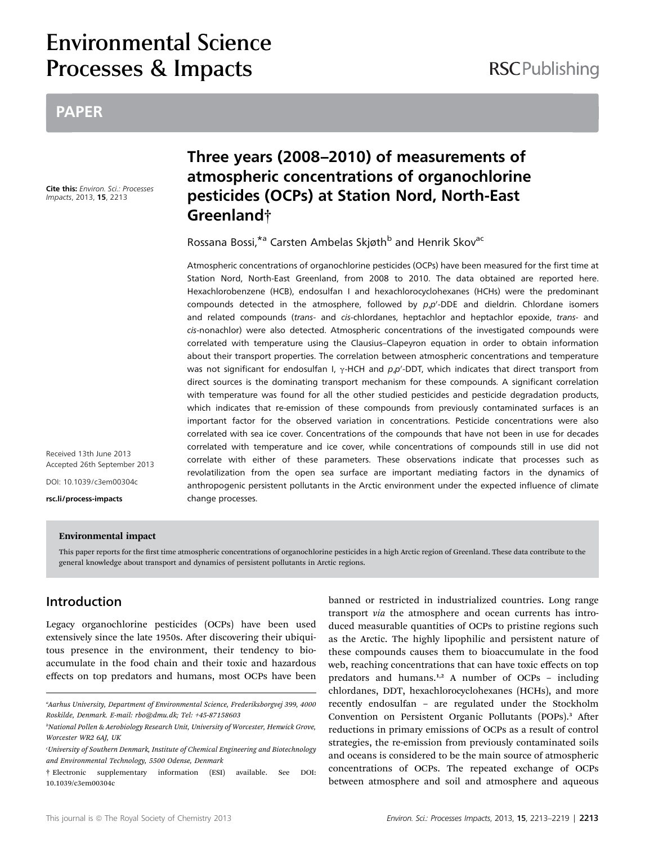# Environmental Science Processes & Impacts

## **RSCPublishing**

## PAPER

Cite this: Environ. Sci.: Processes Impacts, 2013, 15, 2213

## Three years (2008–2010) of measurements of atmospheric concentrations of organochlorine pesticides (OCPs) at Station Nord, North-East Greenland†

Rossana Bossi,<sup>\*a</sup> Carsten Ambelas Skjøth<sup>b</sup> and Henrik Skov<sup>ac</sup>

Atmospheric concentrations of organochlorine pesticides (OCPs) have been measured for the first time at Station Nord, North-East Greenland, from 2008 to 2010. The data obtained are reported here. Hexachlorobenzene (HCB), endosulfan I and hexachlorocyclohexanes (HCHs) were the predominant compounds detected in the atmosphere, followed by  $p_p$ '-DDE and dieldrin. Chlordane isomers and related compounds (trans- and cis-chlordanes, heptachlor and heptachlor epoxide, trans- and cis-nonachlor) were also detected. Atmospheric concentrations of the investigated compounds were correlated with temperature using the Clausius–Clapeyron equation in order to obtain information about their transport properties. The correlation between atmospheric concentrations and temperature was not significant for endosulfan I,  $\gamma$ -HCH and  $p$ , $p'$ -DDT, which indicates that direct transport from direct sources is the dominating transport mechanism for these compounds. A significant correlation with temperature was found for all the other studied pesticides and pesticide degradation products, which indicates that re-emission of these compounds from previously contaminated surfaces is an important factor for the observed variation in concentrations. Pesticide concentrations were also correlated with sea ice cover. Concentrations of the compounds that have not been in use for decades correlated with temperature and ice cover, while concentrations of compounds still in use did not correlate with either of these parameters. These observations indicate that processes such as revolatilization from the open sea surface are important mediating factors in the dynamics of anthropogenic persistent pollutants in the Arctic environment under the expected influence of climate change processes.

Received 13th June 2013 Accepted 26th September 2013

DOI: 10.1039/c3em00304c

rsc.li/process-impacts

#### Environmental impact

This paper reports for the first time atmospheric concentrations of organochlorine pesticides in a high Arctic region of Greenland. These data contribute to the general knowledge about transport and dynamics of persistent pollutants in Arctic regions.

## Introduction

Legacy organochlorine pesticides (OCPs) have been used extensively since the late 1950s. After discovering their ubiquitous presence in the environment, their tendency to bioaccumulate in the food chain and their toxic and hazardous effects on top predators and humans, most OCPs have been

banned or restricted in industrialized countries. Long range transport via the atmosphere and ocean currents has introduced measurable quantities of OCPs to pristine regions such as the Arctic. The highly lipophilic and persistent nature of these compounds causes them to bioaccumulate in the food web, reaching concentrations that can have toxic effects on top predators and humans.<sup>1,2</sup> A number of OCPs – including chlordanes, DDT, hexachlorocyclohexanes (HCHs), and more recently endosulfan – are regulated under the Stockholm Convention on Persistent Organic Pollutants (POPs).<sup>3</sup> After reductions in primary emissions of OCPs as a result of control strategies, the re-emission from previously contaminated soils and oceans is considered to be the main source of atmospheric concentrations of OCPs. The repeated exchange of OCPs between atmosphere and soil and atmosphere and aqueous

a Aarhus University, Department of Environmental Science, Frederiksborgvej 399, 4000 Roskilde, Denmark. E-mail: rbo@dmu.dk; Tel: +45-87158603

b National Pollen & Aerobiology Research Unit, University of Worcester, Henwick Grove, Worcester WR2 6AJ, UK

c University of Southern Denmark, Institute of Chemical Engineering and Biotechnology and Environmental Technology, 5500 Odense, Denmark

<sup>†</sup> Electronic supplementary information (ESI) available. See DOI: 10.1039/c3em00304c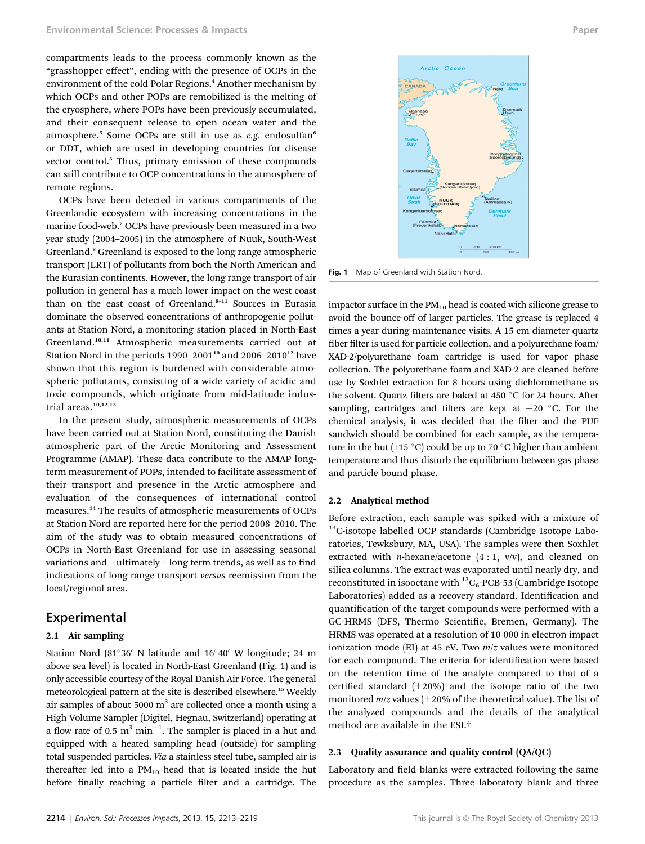compartments leads to the process commonly known as the "grasshopper effect", ending with the presence of OCPs in the environment of the cold Polar Regions.<sup>4</sup> Another mechanism by which OCPs and other POPs are remobilized is the melting of the cryosphere, where POPs have been previously accumulated, and their consequent release to open ocean water and the atmosphere.<sup>5</sup> Some OCPs are still in use as e.g. endosulfan<sup>6</sup> or DDT, which are used in developing countries for disease vector control.<sup>3</sup> Thus, primary emission of these compounds can still contribute to OCP concentrations in the atmosphere of remote regions.

OCPs have been detected in various compartments of the Greenlandic ecosystem with increasing concentrations in the marine food-web.<sup>7</sup> OCPs have previously been measured in a two year study (2004–2005) in the atmosphere of Nuuk, South-West Greenland.<sup>8</sup> Greenland is exposed to the long range atmospheric transport (LRT) of pollutants from both the North American and the Eurasian continents. However, the long range transport of air pollution in general has a much lower impact on the west coast than on the east coast of Greenland.<sup>8-11</sup> Sources in Eurasia dominate the observed concentrations of anthropogenic pollutants at Station Nord, a monitoring station placed in North-East Greenland.10,11 Atmospheric measurements carried out at Station Nord in the periods 1990–2001<sup>10</sup> and 2006–2010<sup>12</sup> have shown that this region is burdened with considerable atmospheric pollutants, consisting of a wide variety of acidic and toxic compounds, which originate from mid-latitude industrial areas.<sup>10,12,13</sup>

In the present study, atmospheric measurements of OCPs have been carried out at Station Nord, constituting the Danish atmospheric part of the Arctic Monitoring and Assessment Programme (AMAP). These data contribute to the AMAP longterm measurement of POPs, intended to facilitate assessment of their transport and presence in the Arctic atmosphere and evaluation of the consequences of international control measures.<sup>14</sup> The results of atmospheric measurements of OCPs at Station Nord are reported here for the period 2008–2010. The aim of the study was to obtain measured concentrations of OCPs in North-East Greenland for use in assessing seasonal variations and – ultimately – long term trends, as well as to find indications of long range transport versus reemission from the local/regional area.

### Experimental

#### 2.1 Air sampling

Station Nord (81°36′ N latitude and 16°40′ W longitude; 24 m above sea level) is located in North-East Greenland (Fig. 1) and is only accessible courtesy of the Royal Danish Air Force. The general meteorological pattern at the site is described elsewhere.<sup>15</sup> Weekly air samples of about 5000  $m<sup>3</sup>$  are collected once a month using a High Volume Sampler (Digitel, Hegnau, Switzerland) operating at a flow rate of 0.5  $m^3$  min<sup>-1</sup>. The sampler is placed in a hut and equipped with a heated sampling head (outside) for sampling total suspended particles. Via a stainless steel tube, sampled air is thereafter led into a  $PM_{10}$  head that is located inside the hut before finally reaching a particle filter and a cartridge. The



Fig. 1 Map of Greenland with Station Nord.

impactor surface in the  $PM_{10}$  head is coated with silicone grease to avoid the bounce-off of larger particles. The grease is replaced 4 times a year during maintenance visits. A 15 cm diameter quartz fiber filter is used for particle collection, and a polyurethane foam/ XAD-2/polyurethane foam cartridge is used for vapor phase collection. The polyurethane foam and XAD-2 are cleaned before use by Soxhlet extraction for 8 hours using dichloromethane as the solvent. Quartz filters are baked at 450  $^{\circ}$ C for 24 hours. After sampling, cartridges and filters are kept at  $-20$  °C. For the chemical analysis, it was decided that the filter and the PUF sandwich should be combined for each sample, as the temperature in the hut (+15  $^{\circ} \mathrm{C}$ ) could be up to 70  $^{\circ} \mathrm{C}$  higher than ambient temperature and thus disturb the equilibrium between gas phase and particle bound phase.

#### 2.2 Analytical method

Before extraction, each sample was spiked with a mixture of <sup>13</sup>C-isotope labelled OCP standards (Cambridge Isotope Laboratories, Tewksbury, MA, USA). The samples were then Soxhlet extracted with *n*-hexane/acetone  $(4:1, v/v)$ , and cleaned on silica columns. The extract was evaporated until nearly dry, and reconstituted in isooctane with  ${}^{13}C_6$ -PCB-53 (Cambridge Isotope Laboratories) added as a recovery standard. Identification and quantification of the target compounds were performed with a GC-HRMS (DFS, Thermo Scientific, Bremen, Germany). The HRMS was operated at a resolution of 10 000 in electron impact ionization mode (EI) at 45 eV. Two  $m/z$  values were monitored for each compound. The criteria for identification were based on the retention time of the analyte compared to that of a certified standard  $(\pm 20\%)$  and the isotope ratio of the two monitored  $m/z$  values ( $\pm 20\%$  of the theoretical value). The list of the analyzed compounds and the details of the analytical method are available in the ESI.†

#### 2.3 Quality assurance and quality control (QA/QC)

Laboratory and field blanks were extracted following the same procedure as the samples. Three laboratory blank and three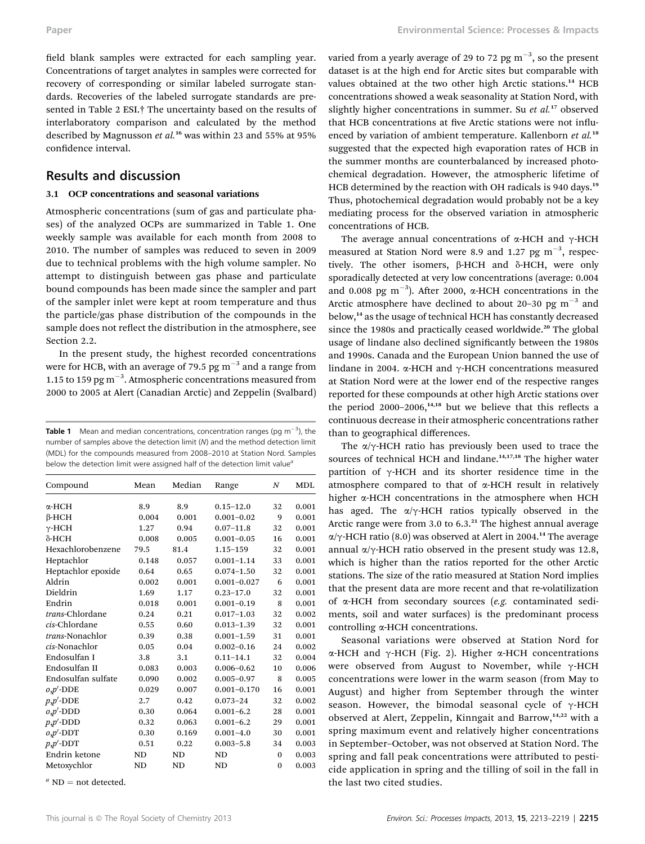varied from a yearly average of 29 to 72 pg  $\mathrm{m}^{-3},$  so the present

field blank samples were extracted for each sampling year. Concentrations of target analytes in samples were corrected for recovery of corresponding or similar labeled surrogate standards. Recoveries of the labeled surrogate standards are presented in Table 2 ESI.† The uncertainty based on the results of interlaboratory comparison and calculated by the method described by Magnusson et al.<sup>16</sup> was within 23 and 55% at 95% confidence interval.

## Results and discussion

#### 3.1 OCP concentrations and seasonal variations

Atmospheric concentrations (sum of gas and particulate phases) of the analyzed OCPs are summarized in Table 1. One weekly sample was available for each month from 2008 to 2010. The number of samples was reduced to seven in 2009 due to technical problems with the high volume sampler. No attempt to distinguish between gas phase and particulate bound compounds has been made since the sampler and part of the sampler inlet were kept at room temperature and thus the particle/gas phase distribution of the compounds in the sample does not reflect the distribution in the atmosphere, see Section 2.2.

In the present study, the highest recorded concentrations were for HCB, with an average of 79.5 pg  $\text{m}^{-3}$  and a range from 1.15 to 159 pg m $^{-3}$ . Atmospheric concentrations measured from 2000 to 2005 at Alert (Canadian Arctic) and Zeppelin (Svalbard)

**Table 1** Mean and median concentrations, concentration ranges (pg  $m^{-3}$ ), the number of samples above the detection limit (N) and the method detection limit (MDL) for the compounds measured from 2008–2010 at Station Nord. Samples below the detection limit were assigned half of the detection limit value<sup>a</sup>

| Compound           | Mean  | Median | Range           | N            | MDL   |
|--------------------|-------|--------|-----------------|--------------|-------|
|                    |       |        |                 |              |       |
| α-HCH              | 8.9   | 8.9    | $0.15 - 12.0$   | 32           | 0.001 |
| $\beta$ -HCH       | 0.004 | 0.001  | $0.001 - 0.02$  | 9            | 0.001 |
| $\gamma$ -HCH      | 1.27  | 0.94   | $0.07 - 11.8$   | 32           | 0.001 |
| δ-HCH              | 0.008 | 0.005  | $0.001 - 0.05$  | 16           | 0.001 |
| Hexachlorobenzene  | 79.5  | 81.4   | $1.15 - 159$    | 32           | 0.001 |
| Heptachlor         | 0.148 | 0.057  | $0.001 - 1.14$  | 33           | 0.001 |
| Heptachlor epoxide | 0.64  | 0.65   | $0.074 - 1.50$  | 32           | 0.001 |
| Aldrin             | 0.002 | 0.001  | $0.001 - 0.027$ | 6            | 0.001 |
| Dieldrin           | 1.69  | 1.17   | $0.23 - 17.0$   | 32           | 0.001 |
| Endrin             | 0.018 | 0.001  | $0.001 - 0.19$  | 8            | 0.001 |
| trans-Chlordane    | 0.24  | 0.21   | $0.017 - 1.03$  | 32           | 0.002 |
| cis-Chlordane      | 0.55  | 0.60   | $0.013 - 1.39$  | 32           | 0.001 |
| trans-Nonachlor    | 0.39  | 0.38   | $0.001 - 1.59$  | 31           | 0.001 |
| cis-Nonachlor      | 0.05  | 0.04   | $0.002 - 0.16$  | 24           | 0.002 |
| Endosulfan I       | 3.8   | 3.1    | $0.11 - 14.1$   | 32           | 0.004 |
| Endosulfan II      | 0.083 | 0.003  | $0.006 - 0.62$  | 10           | 0.006 |
| Endosulfan sulfate | 0.090 | 0.002  | $0.005 - 0.97$  | 8            | 0.005 |
| $o, p'$ -DDE       | 0.029 | 0.007  | $0.001 - 0.170$ | 16           | 0.001 |
| $p, p'$ -DDE       | 2.7   | 0.42   | $0.073 - 24$    | 32           | 0.002 |
| $o, p'$ -DDD       | 0.30  | 0.064  | $0.001 - 6.2$   | 28           | 0.001 |
| $p, p'$ -DDD       | 0.32  | 0.063  | $0.001 - 6.2$   | 29           | 0.001 |
| $o,p'$ -DDT        | 0.30  | 0.169  | $0.001 - 4.0$   | 30           | 0.001 |
| $p, p'$ -DDT       | 0.51  | 0.22   | $0.003 - 5.8$   | 34           | 0.003 |
| Endrin ketone      | ND    | ND     | ND              | $\Omega$     | 0.003 |
| Metoxychlor        | ND    | ND     | ND              | $\mathbf{0}$ | 0.003 |

 $a$  ND = not detected.

dataset is at the high end for Arctic sites but comparable with values obtained at the two other high Arctic stations.<sup>14</sup> HCB concentrations showed a weak seasonality at Station Nord, with slightly higher concentrations in summer. Su et al.<sup>17</sup> observed that HCB concentrations at five Arctic stations were not influenced by variation of ambient temperature. Kallenborn et al.<sup>18</sup> suggested that the expected high evaporation rates of HCB in the summer months are counterbalanced by increased photochemical degradation. However, the atmospheric lifetime of HCB determined by the reaction with OH radicals is 940 days.<sup>19</sup> Thus, photochemical degradation would probably not be a key mediating process for the observed variation in atmospheric concentrations of HCB. The average annual concentrations of  $\alpha$ -HCH and  $\gamma$ -HCH

measured at Station Nord were 8.9 and 1.27 pg  $m^{-3}$ , respectively. The other isomers,  $\beta$ -HCH and  $\delta$ -HCH, were only sporadically detected at very low concentrations (average: 0.004 and 0.008 pg m<sup>-3</sup>). After 2000,  $\alpha$ -HCH concentrations in the Arctic atmosphere have declined to about 20–30 pg  $m^{-3}$  and below,<sup>14</sup> as the usage of technical HCH has constantly decreased since the 1980s and practically ceased worldwide.<sup>20</sup> The global usage of lindane also declined significantly between the 1980s and 1990s. Canada and the European Union banned the use of lindane in 2004.  $\alpha$ -HCH and  $\gamma$ -HCH concentrations measured at Station Nord were at the lower end of the respective ranges reported for these compounds at other high Arctic stations over the period  $2000-2006$ ,<sup>14,18</sup> but we believe that this reflects a continuous decrease in their atmospheric concentrations rather than to geographical differences.

The  $\alpha/\gamma$ -HCH ratio has previously been used to trace the sources of technical HCH and lindane.<sup>14,17,18</sup> The higher water partition of  $\gamma$ -HCH and its shorter residence time in the atmosphere compared to that of  $\alpha$ -HCH result in relatively higher  $\alpha$ -HCH concentrations in the atmosphere when HCH has aged. The  $\alpha/\gamma$ -HCH ratios typically observed in the Arctic range were from 3.0 to 6.3.<sup>21</sup> The highest annual average  $\alpha/\gamma$ -HCH ratio (8.0) was observed at Alert in 2004.<sup>14</sup> The average annual  $\alpha/\gamma$ -HCH ratio observed in the present study was 12.8, which is higher than the ratios reported for the other Arctic stations. The size of the ratio measured at Station Nord implies that the present data are more recent and that re-volatilization of a-HCH from secondary sources (e.g. contaminated sediments, soil and water surfaces) is the predominant process controlling a-HCH concentrations.

Seasonal variations were observed at Station Nord for  $\alpha$ -HCH and  $\gamma$ -HCH (Fig. 2). Higher  $\alpha$ -HCH concentrations were observed from August to November, while  $\gamma$ -HCH concentrations were lower in the warm season (from May to August) and higher from September through the winter season. However, the bimodal seasonal cycle of  $\gamma$ -HCH observed at Alert, Zeppelin, Kinngait and Barrow,<sup>14,22</sup> with a spring maximum event and relatively higher concentrations in September–October, was not observed at Station Nord. The spring and fall peak concentrations were attributed to pesticide application in spring and the tilling of soil in the fall in the last two cited studies.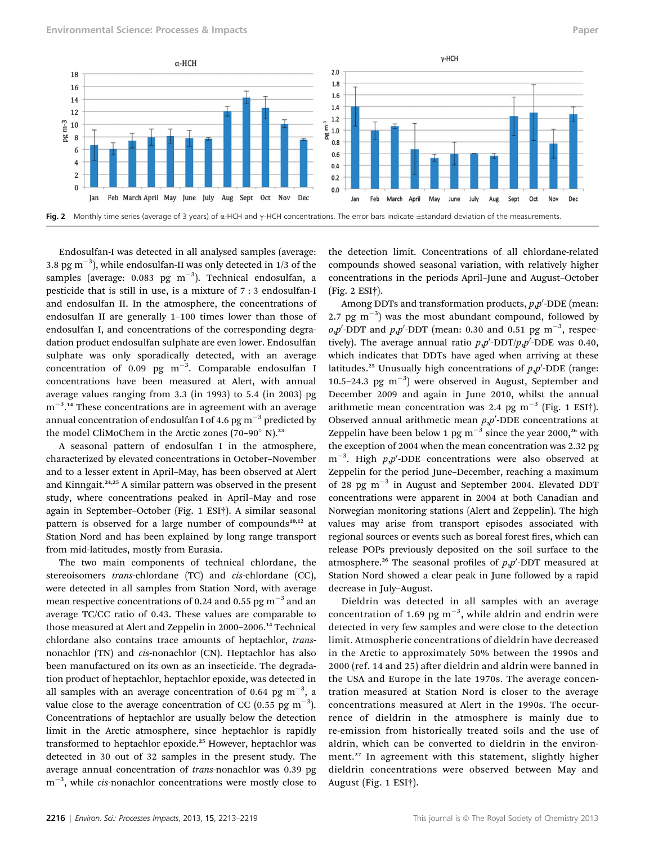

Endosulfan-I was detected in all analysed samples (average: 3.8 pg m $^{-3}$ ), while endosulfan-II was only detected in 1/3 of the samples (average: 0.083 pg  $\text{m}^{-3}$ ). Technical endosulfan, a pesticide that is still in use, is a mixture of 7 : 3 endosulfan-I and endosulfan II. In the atmosphere, the concentrations of endosulfan II are generally 1–100 times lower than those of endosulfan I, and concentrations of the corresponding degradation product endosulfan sulphate are even lower. Endosulfan sulphate was only sporadically detected, with an average concentration of 0.09 pg  $m^{-3}$ . Comparable endosulfan I concentrations have been measured at Alert, with annual average values ranging from 3.3 (in 1993) to 5.4 (in 2003) pg  $m^{-3}$ .<sup>14</sup> These concentrations are in agreement with an average annual concentration of endosulfan I of 4.6 pg  $m^{-3}$  predicted by the model CliMoChem in the Arctic zones (70–90° N).<sup>23</sup>

A seasonal pattern of endosulfan I in the atmosphere, characterized by elevated concentrations in October–November and to a lesser extent in April–May, has been observed at Alert and Kinngait.<sup>24,25</sup> A similar pattern was observed in the present study, where concentrations peaked in April–May and rose again in September–October (Fig. 1 ESI†). A similar seasonal pattern is observed for a large number of compounds $10,12$  at Station Nord and has been explained by long range transport from mid-latitudes, mostly from Eurasia.

The two main components of technical chlordane, the stereoisomers trans-chlordane (TC) and cis-chlordane (CC), were detected in all samples from Station Nord, with average mean respective concentrations of 0.24 and 0.55 pg  $m^{-3}$  and an average TC/CC ratio of 0.43. These values are comparable to those measured at Alert and Zeppelin in 2000–2006.<sup>14</sup> Technical chlordane also contains trace amounts of heptachlor, transnonachlor (TN) and cis-nonachlor (CN). Heptachlor has also been manufactured on its own as an insecticide. The degradation product of heptachlor, heptachlor epoxide, was detected in all samples with an average concentration of 0.64 pg  $m^{-3}$ , a value close to the average concentration of CC (0.55 pg  $\mathrm{m}^{-3}$ ). Concentrations of heptachlor are usually below the detection limit in the Arctic atmosphere, since heptachlor is rapidly transformed to heptachlor epoxide.<sup>25</sup> However, heptachlor was detected in 30 out of 32 samples in the present study. The average annual concentration of trans-nonachlor was 0.39 pg  $m^{-3}$ , while *cis*-nonachlor concentrations were mostly close to

the detection limit. Concentrations of all chlordane-related compounds showed seasonal variation, with relatively higher concentrations in the periods April–June and August–October (Fig. 2 ESI†).

Among DDTs and transformation products,  $p,\!p^\prime\text{-DDE}$  (mean: 2.7 pg  $\text{m}^{-3}$ ) was the most abundant compound, followed by  $o,p'$ -DDT and  $p,p'$ -DDT (mean: 0.30 and 0.51 pg m<sup>-3</sup>, respectively). The average annual ratio  $p_{\rm t}p^{\prime}$ -DDT/ $p_{\rm t}p^{\prime}$ -DDE was 0.40, which indicates that DDTs have aged when arriving at these latitudes.<sup>25</sup> Unusually high concentrations of  $p, p'$ -DDE (range: 10.5-24.3 pg  $m^{-3}$ ) were observed in August, September and December 2009 and again in June 2010, whilst the annual arithmetic mean concentration was 2.4 pg  $m^{-3}$  (Fig. 1 ESI†). Observed annual arithmetic mean  $p, p'$ -DDE concentrations at Zeppelin have been below 1 pg  $m^{-3}$  since the year 2000,<sup>26</sup> with the exception of 2004 when the mean concentration was 2.32 pg  $m^{-3}$ . High  $p$ , $p'$ -DDE concentrations were also observed at Zeppelin for the period June–December, reaching a maximum of 28 pg  $m^{-3}$  in August and September 2004. Elevated DDT concentrations were apparent in 2004 at both Canadian and Norwegian monitoring stations (Alert and Zeppelin). The high values may arise from transport episodes associated with regional sources or events such as boreal forest fires, which can release POPs previously deposited on the soil surface to the atmosphere.<sup>26</sup> The seasonal profiles of  $p, p'$ -DDT measured at Station Nord showed a clear peak in June followed by a rapid decrease in July–August.

Dieldrin was detected in all samples with an average concentration of 1.69 pg  $m^{-3}$ , while aldrin and endrin were detected in very few samples and were close to the detection limit. Atmospheric concentrations of dieldrin have decreased in the Arctic to approximately 50% between the 1990s and 2000 (ref. 14 and 25) after dieldrin and aldrin were banned in the USA and Europe in the late 1970s. The average concentration measured at Station Nord is closer to the average concentrations measured at Alert in the 1990s. The occurrence of dieldrin in the atmosphere is mainly due to re-emission from historically treated soils and the use of aldrin, which can be converted to dieldrin in the environment.<sup>27</sup> In agreement with this statement, slightly higher dieldrin concentrations were observed between May and August (Fig. 1 ESI†).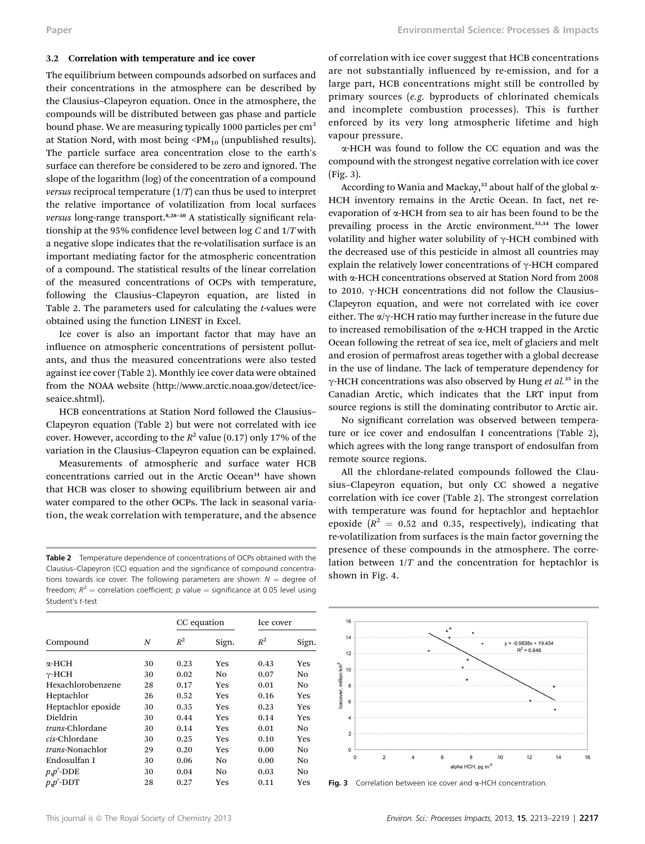#### 3.2 Correlation with temperature and ice cover

The equilibrium between compounds adsorbed on surfaces and their concentrations in the atmosphere can be described by the Clausius–Clapeyron equation. Once in the atmosphere, the compounds will be distributed between gas phase and particle bound phase. We are measuring typically 1000 particles per cm<sup>3</sup> at Station Nord, with most being  $\langle PM_{10}$  (unpublished results). The particle surface area concentration close to the earth's surface can therefore be considered to be zero and ignored. The slope of the logarithm (log) of the concentration of a compound *versus* reciprocal temperature  $(1/T)$  can thus be used to interpret the relative importance of volatilization from local surfaces versus long-range transport.<sup>8,28-30</sup> A statistically significant relationship at the 95% confidence level between log  $C$  and  $1/T$  with a negative slope indicates that the re-volatilisation surface is an important mediating factor for the atmospheric concentration of a compound. The statistical results of the linear correlation of the measured concentrations of OCPs with temperature, following the Clausius–Clapeyron equation, are listed in Table 2. The parameters used for calculating the t-values were obtained using the function LINEST in Excel.

Ice cover is also an important factor that may have an influence on atmospheric concentrations of persistent pollutants, and thus the measured concentrations were also tested against ice cover (Table 2). Monthly ice cover data were obtained from the NOAA website (http://www.arctic.noaa.gov/detect/iceseaice.shtml).

HCB concentrations at Station Nord followed the Clausius– Clapeyron equation (Table 2) but were not correlated with ice cover. However, according to the  $R^2$  value (0.17) only 17% of the variation in the Clausius–Clapeyron equation can be explained.

Measurements of atmospheric and surface water HCB concentrations carried out in the Arctic Ocean<sup>31</sup> have shown that HCB was closer to showing equilibrium between air and water compared to the other OCPs. The lack in seasonal variation, the weak correlation with temperature, and the absence

Table 2 Temperature dependence of concentrations of OCPs obtained with the Clausius–Clapeyron (CC) equation and the significance of compound concentrations towards ice cover. The following parameters are shown:  $N =$  degree of freedom;  $R^2$  = correlation coefficient; p value = significance at 0.05 level using Student's t-test

| Compound                | N  | CC equation |                | Ice cover |                |
|-------------------------|----|-------------|----------------|-----------|----------------|
|                         |    | $R^2$       | Sign.          | $R^2$     | Sign.          |
| $\alpha$ -HCH           | 30 | 0.23        | Yes            | 0.43      | Yes            |
| $\gamma$ -HCH           | 30 | 0.02        | N <sub>0</sub> | 0.07      | No             |
| Hexachlorobenzene       | 28 | 0.17        | Yes            | 0.01      | No             |
| Heptachlor              | 26 | 0.52        | Yes            | 0.16      | Yes            |
| Heptachlor epoxide      | 30 | 0.35        | Yes            | 0.23      | Yes            |
| Dieldrin                | 30 | 0.44        | Yes            | 0.14      | Yes            |
| <i>trans-Chlordane</i>  | 30 | 0.14        | Yes            | 0.01      | No             |
| cis-Chlordane           | 30 | 0.25        | Yes            | 0.10      | Yes            |
| <i>trans</i> -Nonachlor | 29 | 0.20        | Yes            | 0.00      | N <sub>0</sub> |
| Endosulfan I            | 30 | 0.06        | No             | 0.00      | No             |
| $p, p'$ -DDE            | 30 | 0.04        | N <sub>0</sub> | 0.03      | No             |
| $p, p'$ -DDT            | 28 | 0.27        | Yes            | 0.11      | Yes            |

of correlation with ice cover suggest that HCB concentrations are not substantially influenced by re-emission, and for a large part, HCB concentrations might still be controlled by primary sources (e.g. byproducts of chlorinated chemicals and incomplete combustion processes). This is further enforced by its very long atmospheric lifetime and high vapour pressure.

a-HCH was found to follow the CC equation and was the compound with the strongest negative correlation with ice cover (Fig. 3).

According to Wania and Mackay,<sup>32</sup> about half of the global  $\alpha$ -HCH inventory remains in the Arctic Ocean. In fact, net reevaporation of  $\alpha$ -HCH from sea to air has been found to be the prevailing process in the Arctic environment.<sup>33,34</sup> The lower volatility and higher water solubility of  $\gamma$ -HCH combined with the decreased use of this pesticide in almost all countries may explain the relatively lower concentrations of  $\gamma$ -HCH compared with a-HCH concentrations observed at Station Nord from 2008 to 2010.  $\gamma$ -HCH concentrations did not follow the Clausius-Clapeyron equation, and were not correlated with ice cover either. The  $\alpha/\gamma$ -HCH ratio may further increase in the future due to increased remobilisation of the  $\alpha$ -HCH trapped in the Arctic Ocean following the retreat of sea ice, melt of glaciers and melt and erosion of permafrost areas together with a global decrease in the use of lindane. The lack of temperature dependency for  $\gamma$ -HCH concentrations was also observed by Hung et al.<sup>35</sup> in the Canadian Arctic, which indicates that the LRT input from source regions is still the dominating contributor to Arctic air.

No significant correlation was observed between temperature or ice cover and endosulfan I concentrations (Table 2), which agrees with the long range transport of endosulfan from remote source regions.

All the chlordane-related compounds followed the Clausius–Clapeyron equation, but only CC showed a negative correlation with ice cover (Table 2). The strongest correlation with temperature was found for heptachlor and heptachlor epoxide ( $R^2 = 0.52$  and 0.35, respectively), indicating that re-volatilization from surfaces is the main factor governing the presence of these compounds in the atmosphere. The correlation between  $1/T$  and the concentration for heptachlor is shown in Fig. 4.



Fig. 3 Correlation between ice cover and  $\alpha$ -HCH concentration.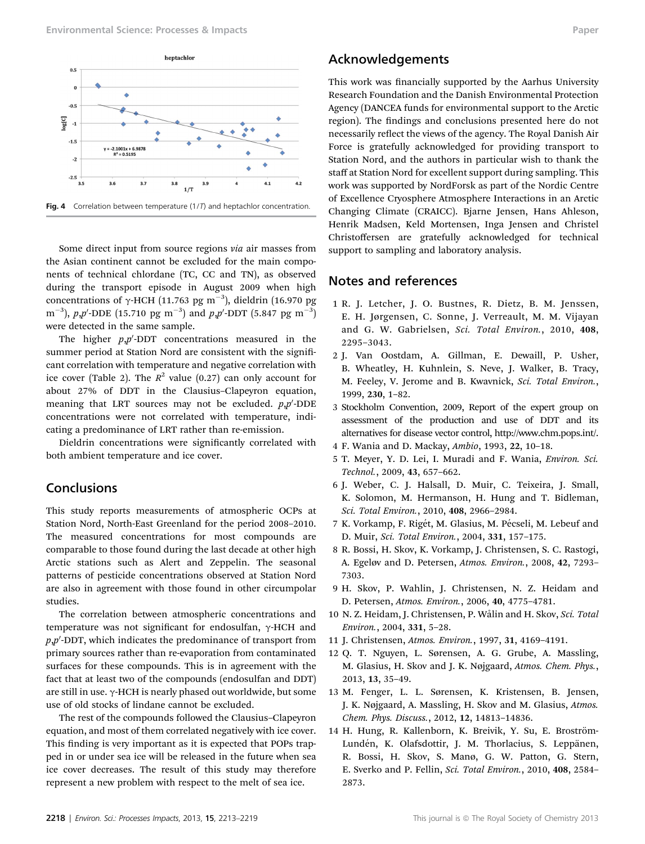

Some direct input from source regions via air masses from the Asian continent cannot be excluded for the main components of technical chlordane (TC, CC and TN), as observed during the transport episode in August 2009 when high concentrations of  $\gamma$ -HCH (11.763 pg m<sup>-3</sup>), dieldrin (16.970 pg  $\text{m}^{-3}$ ), p,p'-DDE (15.710 pg  $\text{m}^{-3}$ ) and p,p'-DDT (5.847 pg  $\text{m}^{-3}$ ) were detected in the same sample.

The higher  $p_{\rm *}p^{\prime}$ -DDT concentrations measured in the summer period at Station Nord are consistent with the significant correlation with temperature and negative correlation with ice cover (Table 2). The  $R^2$  value (0.27) can only account for about 27% of DDT in the Clausius–Clapeyron equation, meaning that LRT sources may not be excluded.  $p,\!p^\prime\text{-DDE}$ concentrations were not correlated with temperature, indicating a predominance of LRT rather than re-emission.

Dieldrin concentrations were significantly correlated with both ambient temperature and ice cover.

### **Conclusions**

This study reports measurements of atmospheric OCPs at Station Nord, North-East Greenland for the period 2008–2010. The measured concentrations for most compounds are comparable to those found during the last decade at other high Arctic stations such as Alert and Zeppelin. The seasonal patterns of pesticide concentrations observed at Station Nord are also in agreement with those found in other circumpolar studies.

The correlation between atmospheric concentrations and temperature was not significant for endosulfan,  $\gamma$ -HCH and  $p,\!p^\prime\text{-DDT}\!,$  which indicates the predominance of transport from primary sources rather than re-evaporation from contaminated surfaces for these compounds. This is in agreement with the fact that at least two of the compounds (endosulfan and DDT) are still in use.  $\gamma$ -HCH is nearly phased out worldwide, but some use of old stocks of lindane cannot be excluded.

The rest of the compounds followed the Clausius–Clapeyron equation, and most of them correlated negatively with ice cover. This finding is very important as it is expected that POPs trapped in or under sea ice will be released in the future when sea ice cover decreases. The result of this study may therefore represent a new problem with respect to the melt of sea ice.

## Acknowledgements

This work was financially supported by the Aarhus University Research Foundation and the Danish Environmental Protection Agency (DANCEA funds for environmental support to the Arctic region). The findings and conclusions presented here do not necessarily reflect the views of the agency. The Royal Danish Air Force is gratefully acknowledged for providing transport to Station Nord, and the authors in particular wish to thank the staff at Station Nord for excellent support during sampling. This work was supported by NordForsk as part of the Nordic Centre of Excellence Cryosphere Atmosphere Interactions in an Arctic Changing Climate (CRAICC). Bjarne Jensen, Hans Ahleson, Henrik Madsen, Keld Mortensen, Inga Jensen and Christel Christoffersen are gratefully acknowledged for technical support to sampling and laboratory analysis.

## Notes and references

- 1 R. J. Letcher, J. O. Bustnes, R. Dietz, B. M. Jenssen, E. H. Jørgensen, C. Sonne, J. Verreault, M. M. Vijayan and G. W. Gabrielsen, Sci. Total Environ., 2010, 408, 2295–3043.
- 2 J. Van Oostdam, A. Gillman, E. Dewaill, P. Usher, B. Wheatley, H. Kuhnlein, S. Neve, J. Walker, B. Tracy, M. Feeley, V. Jerome and B. Kwavnick, Sci. Total Environ., 1999, 230, 1–82.
- 3 Stockholm Convention, 2009, Report of the expert group on assessment of the production and use of DDT and its alternatives for disease vector control, http://www.chm.pops.int/.
- 4 F. Wania and D. Mackay, Ambio, 1993, 22, 10–18.
- 5 T. Meyer, Y. D. Lei, I. Muradi and F. Wania, Environ. Sci. Technol., 2009, 43, 657–662.
- 6 J. Weber, C. J. Halsall, D. Muir, C. Teixeira, J. Small, K. Solomon, M. Hermanson, H. Hung and T. Bidleman, Sci. Total Environ., 2010, 408, 2966–2984.
- 7 K. Vorkamp, F. Rigét, M. Glasius, M. Pécseli, M. Lebeuf and D. Muir, Sci. Total Environ., 2004, 331, 157–175.
- 8 R. Bossi, H. Skov, K. Vorkamp, J. Christensen, S. C. Rastogi, A. Egeløv and D. Petersen, Atmos. Environ., 2008, 42, 7293– 7303.
- 9 H. Skov, P. Wahlin, J. Christensen, N. Z. Heidam and D. Petersen, Atmos. Environ., 2006, 40, 4775–4781.
- 10 N. Z. Heidam, J. Christensen, P. Wålin and H. Skov, Sci. Total Environ., 2004, 331, 5–28.
- 11 J. Christensen, Atmos. Environ., 1997, 31, 4169–4191.
- 12 Q. T. Nguyen, L. Sørensen, A. G. Grube, A. Massling, M. Glasius, H. Skov and J. K. Nøjgaard, Atmos. Chem. Phys., 2013, 13, 35–49.
- 13 M. Fenger, L. L. Sørensen, K. Kristensen, B. Jensen, J. K. Nøjgaard, A. Massling, H. Skov and M. Glasius, Atmos. Chem. Phys. Discuss., 2012, 12, 14813–14836.
- 14 H. Hung, R. Kallenborn, K. Breivik, Y. Su, E. Broström-Lundén, K. Olafsdottir, J. M. Thorlacius, S. Leppänen, R. Bossi, H. Skov, S. Manø, G. W. Patton, G. Stern, E. Sverko and P. Fellin, Sci. Total Environ., 2010, 408, 2584– 2873.